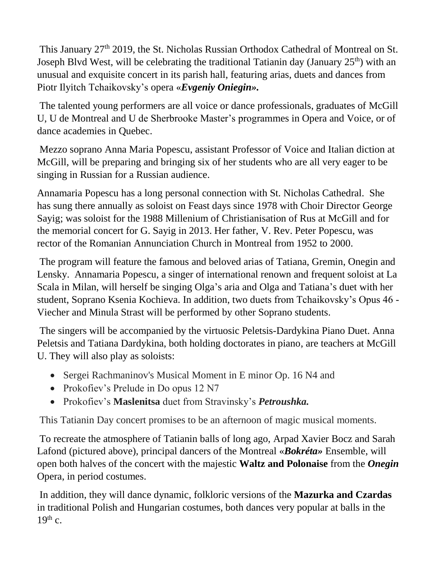This January 27<sup>th</sup> 2019, the St. Nicholas Russian Orthodox Cathedral of Montreal on St. Joseph Blvd West, will be celebrating the traditional Tatianin day (January  $25<sup>th</sup>$ ) with an unusual and exquisite concert in its parish hall, featuring arias, duets and dances from Piotr Ilyitch Tchaikovsky's opera «*Evgeniy Oniegin».*

The talented young performers are all voice or dance professionals, graduates of McGill U, U de Montreal and U de Sherbrooke Master's programmes in Opera and Voice, or of dance academies in Quebec.

Mezzo soprano Anna Maria Popescu, assistant Professor of Voice and Italian diction at McGill, will be preparing and bringing six of her students who are all very eager to be singing in Russian for a Russian audience.

Annamaria Popescu has a long personal connection with St. Nicholas Cathedral. She has sung there annually as soloist on Feast days since 1978 with Choir Director George Sayig; was soloist for the 1988 Millenium of Christianisation of Rus at McGill and for the memorial concert for G. Sayig in 2013. Her father, V. Rev. Peter Popescu, was rector of the Romanian Annunciation Church in Montreal from 1952 to 2000.

The program will feature the famous and beloved arias of Tatiana, Gremin, Onegin and Lensky. Annamaria Popescu, a singer of international renown and frequent soloist at La Scala in Milan, will herself be singing Olga's aria and Olga and Tatiana's duet with her student, Soprano Ksenia Kochieva. In addition, two duets from Tchaikovsky's Opus 46 - Viecher and Minula Strast will be performed by other Soprano students.

The singers will be accompanied by the virtuosic Peletsis-Dardykina Piano Duet. Anna Peletsis and Tatiana Dardykina, both holding doctorates in piano, are teachers at McGill U. They will also play as soloists:

- Sergei Rachmaninov's Musical Moment in E minor Op. 16 N4 and
- Prokofiev's Prelude in Do opus 12 N7
- Prokofiev's **Maslenitsa** duet from Stravinsky's *Petroushka.*

This Tatianin Day concert promises to be an afternoon of magic musical moments.

To recreate the atmosphere of Tatianin balls of long ago, Arpad Xavier Bocz and Sarah Lafond (pictured above), principal dancers of the Montreal «*Bokréta»* Ensemble, will open both halves of the concert with the majestic **Waltz and Polonaise** from the *Onegin* Opera, in period costumes.

In addition, they will dance dynamic, folkloric versions of the **Mazurka and Czardas** in traditional Polish and Hungarian costumes, both dances very popular at balls in the  $19<sup>th</sup>$  c.